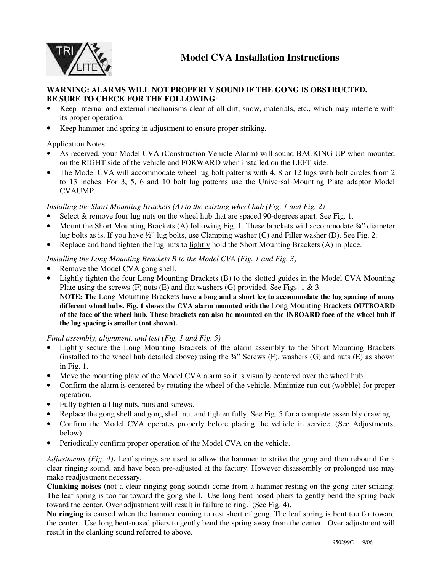

## **WARNING: ALARMS WILL NOT PROPERLY SOUND IF THE GONG IS OBSTRUCTED. BE SURE TO CHECK FOR THE FOLLOWING**:

- Keep internal and external mechanisms clear of all dirt, snow, materials, etc., which may interfere with its proper operation.
- Keep hammer and spring in adjustment to ensure proper striking.

## Application Notes:

- As received, your Model CVA (Construction Vehicle Alarm) will sound BACKING UP when mounted on the RIGHT side of the vehicle and FORWARD when installed on the LEFT side.
- The Model CVA will accommodate wheel lug bolt patterns with 4, 8 or 12 lugs with bolt circles from 2 to 13 inches. For 3, 5, 6 and 10 bolt lug patterns use the Universal Mounting Plate adaptor Model CVAUMP.

## *Installing the Short Mounting Brackets (A) to the existing wheel hub (Fig. 1 and Fig. 2)*

- Select  $\&$  remove four lug nuts on the wheel hub that are spaced 90-degrees apart. See Fig. 1.
- Mount the Short Mounting Brackets (A) following Fig. 1. These brackets will accommodate  $\frac{3}{4}$  diameter lug bolts as is. If you have ½" lug bolts, use Clamping washer (C) and Filler washer (D). See Fig. 2.
- Replace and hand tighten the lug nuts to lightly hold the Short Mounting Brackets (A) in place.

## *Installing the Long Mounting Brackets B to the Model CVA (Fig. 1 and Fig. 3)*

- Remove the Model CVA gong shell.
- Lightly tighten the four Long Mounting Brackets (B) to the slotted guides in the Model CVA Mounting Plate using the screws  $(F)$  nuts  $(E)$  and flat washers  $(G)$  provided. See Figs. 1 & 3.

**NOTE: The** Long Mounting Brackets **have a long and a short leg to accommodate the lug spacing of many different wheel hubs. Fig. 1 shows the CVA alarm mounted with the** Long Mounting Brackets **OUTBOARD of the face of the wheel hub. These brackets can also be mounted on the INBOARD face of the wheel hub if the lug spacing is smaller (not shown).** 

*Final assembly, alignment, and test (Fig. 1 and Fig. 5)* 

- Lightly secure the Long Mounting Brackets of the alarm assembly to the Short Mounting Brackets (installed to the wheel hub detailed above) using the  $\frac{3}{4}$ " Screws (F), washers (G) and nuts (E) as shown in Fig. 1.
- Move the mounting plate of the Model CVA alarm so it is visually centered over the wheel hub.
- Confirm the alarm is centered by rotating the wheel of the vehicle. Minimize run-out (wobble) for proper operation.
- Fully tighten all lug nuts, nuts and screws.
- Replace the gong shell and gong shell nut and tighten fully. See Fig. 5 for a complete assembly drawing.
- Confirm the Model CVA operates properly before placing the vehicle in service. (See Adjustments, below).
- Periodically confirm proper operation of the Model CVA on the vehicle.

*Adjustments (Fig. 4)***.** Leaf springs are used to allow the hammer to strike the gong and then rebound for a clear ringing sound, and have been pre-adjusted at the factory. However disassembly or prolonged use may make readjustment necessary.

**Clanking noises** (not a clear ringing gong sound) come from a hammer resting on the gong after striking. The leaf spring is too far toward the gong shell. Use long bent-nosed pliers to gently bend the spring back toward the center. Over adjustment will result in failure to ring. (See Fig. 4).

**No ringing** is caused when the hammer coming to rest short of gong. The leaf spring is bent too far toward the center. Use long bent-nosed pliers to gently bend the spring away from the center. Over adjustment will result in the clanking sound referred to above.